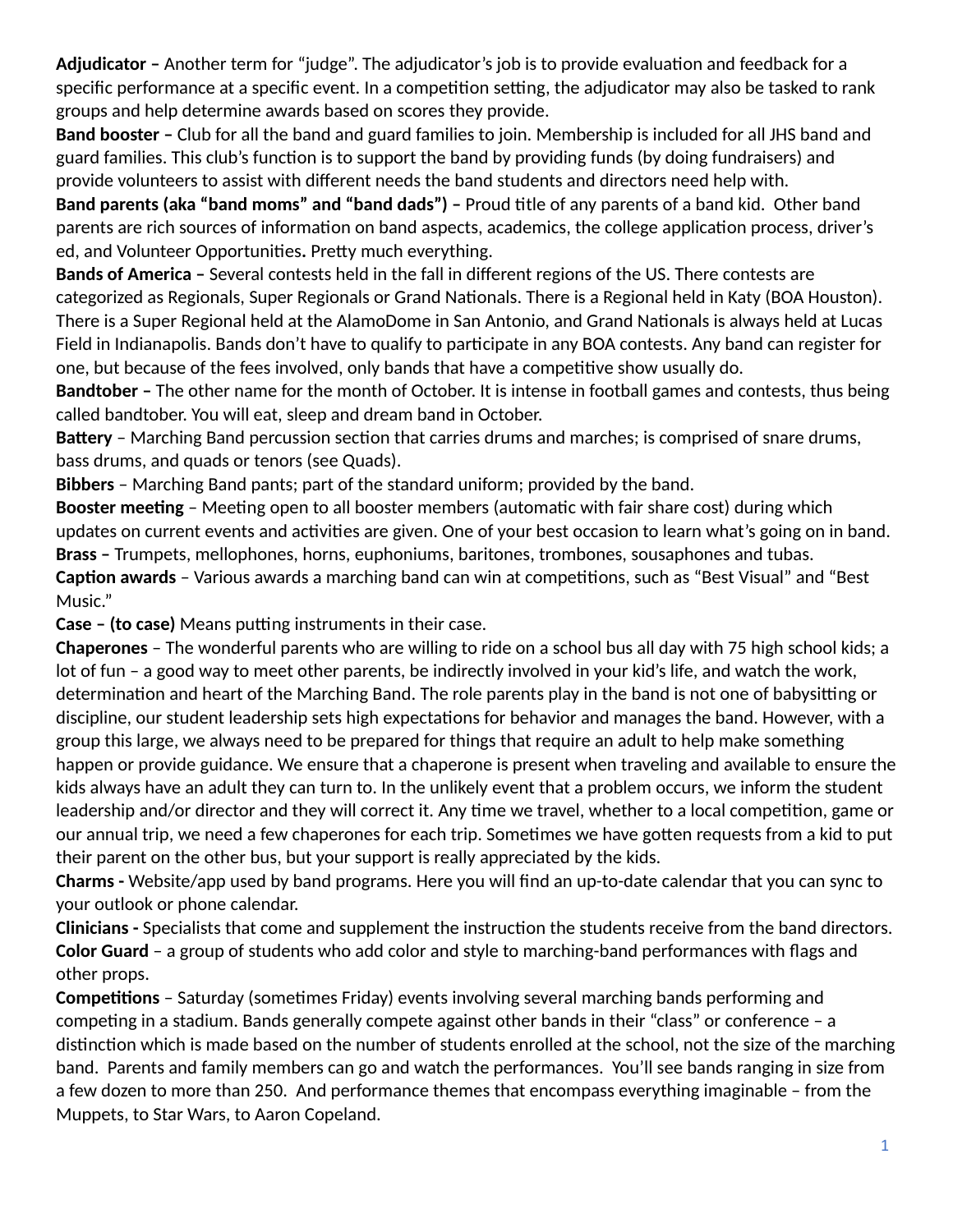Adjudicator - Another term for "judge". The adjudicator's job is to provide evaluation and feedback for a specific performance at a specific event. In a competition setting, the adjudicator may also be tasked to rank groups and help determine awards based on scores they provide.

**Band booster –** Club for all the band and guard families to join. Membership is included for all JHS band and guard families. This club's function is to support the band by providing funds (by doing fundraisers) and provide volunteers to assist with different needs the band students and directors need help with.

**Band parents (aka "band moms" and "band dads") –** Proud title of any parents of a band kid. Other band parents are rich sources of information on band aspects, academics, the college application process, driver's ed, and Volunteer Opportunities. Pretty much everything.

**Bands of America –** Several contests held in the fall in different regions of the US. There contests are categorized as Regionals, Super Regionals or Grand Nationals. There is a Regional held in Katy (BOA Houston). There is a Super Regional held at the AlamoDome in San Antonio, and Grand Nationals is always held at Lucas Field in Indianapolis. Bands don't have to qualify to participate in any BOA contests. Any band can register for one, but because of the fees involved, only bands that have a competitive show usually do.

**Bandtober –** The other name for the month of October. It is intense in football games and contests, thus being called bandtober. You will eat, sleep and dream band in October.

**Battery** – Marching Band percussion section that carries drums and marches; is comprised of snare drums, bass drums, and quads or tenors (see Quads).

**Bibbers** – Marching Band pants; part of the standard uniform; provided by the band.

**Booster meeting** – Meeting open to all booster members (automatic with fair share cost) during which updates on current events and activities are given. One of your best occasion to learn what's going on in band. **Brass –** Trumpets, mellophones, horns, euphoniums, baritones, trombones, sousaphones and tubas. **Caption awards** - Various awards a marching band can win at competitions, such as "Best Visual" and "Best Music."

**Case - (to case)** Means putting instruments in their case.

**Chaperones** – The wonderful parents who are willing to ride on a school bus all day with 75 high school kids; a lot of fun – a good way to meet other parents, be indirectly involved in your kid's life, and watch the work, determination and heart of the Marching Band. The role parents play in the band is not one of babysitting or discipline, our student leadership sets high expectations for behavior and manages the band. However, with a group this large, we always need to be prepared for things that require an adult to help make something happen or provide guidance. We ensure that a chaperone is present when traveling and available to ensure the kids always have an adult they can turn to. In the unlikely event that a problem occurs, we inform the student leadership and/or director and they will correct it. Any time we travel, whether to a local competition, game or our annual trip, we need a few chaperones for each trip. Sometimes we have gotten requests from a kid to put their parent on the other bus, but your support is really appreciated by the kids.

**Charms -** Website/app used by band programs. Here you will find an up-to-date calendar that you can sync to your outlook or phone calendar.

**Clinicians -** Specialists that come and supplement the instruction the students receive from the band directors. **Color Guard** – a group of students who add color and style to marching-band performances with flags and other props.

**Competitions** – Saturday (sometimes Friday) events involving several marching bands performing and competing in a stadium. Bands generally compete against other bands in their "class" or conference  $- a$ distinction which is made based on the number of students enrolled at the school, not the size of the marching band. Parents and family members can go and watch the performances. You'll see bands ranging in size from a few dozen to more than 250. And performance themes that encompass everything imaginable – from the Muppets, to Star Wars, to Aaron Copeland.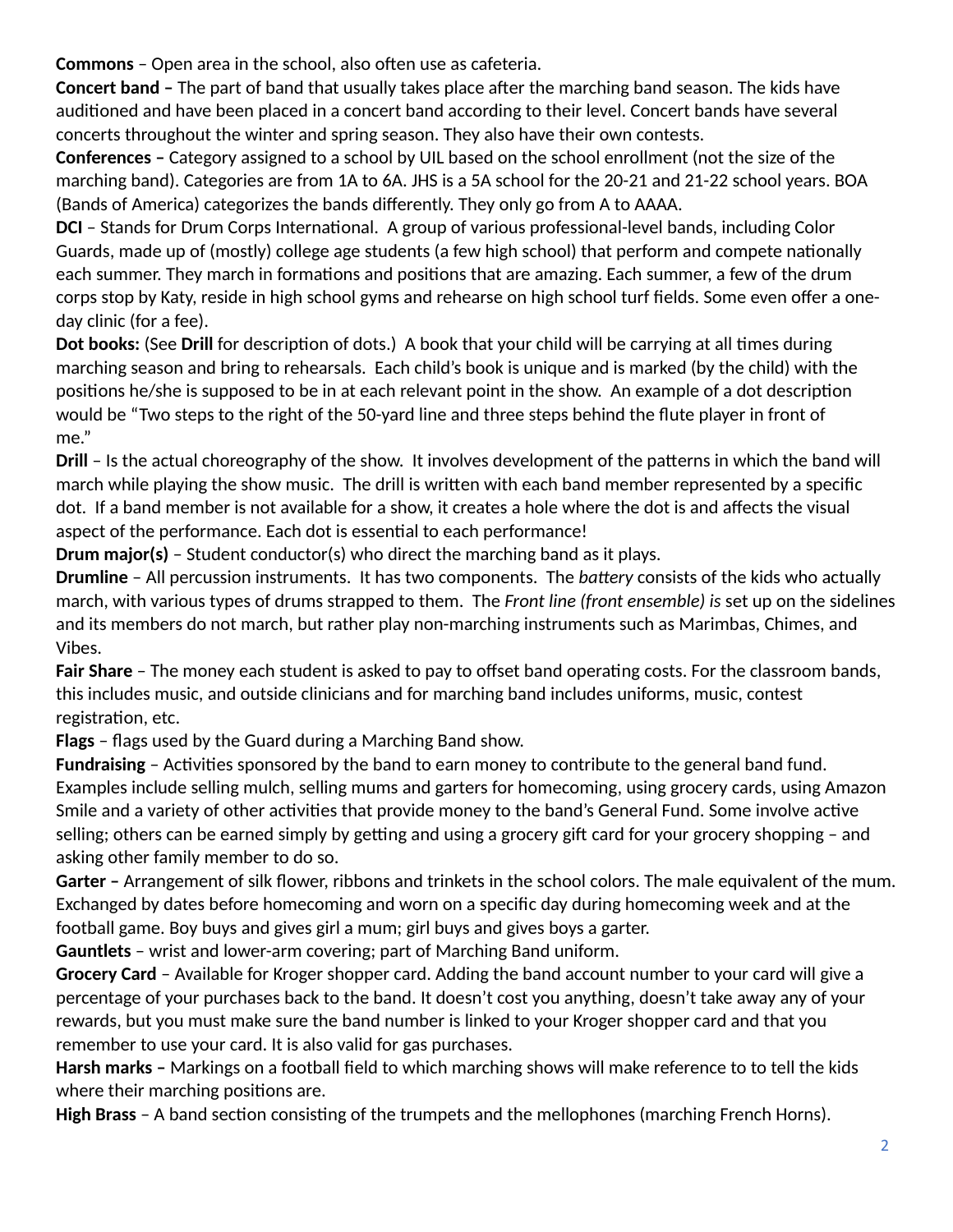**Commons** - Open area in the school, also often use as cafeteria.

**Concert band -** The part of band that usually takes place after the marching band season. The kids have auditioned and have been placed in a concert band according to their level. Concert bands have several concerts throughout the winter and spring season. They also have their own contests.

**Conferences –** Category assigned to a school by UIL based on the school enrollment (not the size of the marching band). Categories are from 1A to 6A. JHS is a 5A school for the 20-21 and 21-22 school years. BOA (Bands of America) categorizes the bands differently. They only go from A to AAAA.

**DCI** – Stands for Drum Corps International. A group of various professional-level bands, including Color Guards, made up of (mostly) college age students (a few high school) that perform and compete nationally each summer. They march in formations and positions that are amazing. Each summer, a few of the drum corps stop by Katy, reside in high school gyms and rehearse on high school turf fields. Some even offer a oneday clinic (for a fee).

**Dot books:** (See Drill for description of dots.) A book that your child will be carrying at all times during marching season and bring to rehearsals. Each child's book is unique and is marked (by the child) with the positions he/she is supposed to be in at each relevant point in the show. An example of a dot description would be "Two steps to the right of the 50-yard line and three steps behind the flute player in front of me."

**Drill** – Is the actual choreography of the show. It involves development of the patterns in which the band will march while playing the show music. The drill is written with each band member represented by a specific dot. If a band member is not available for a show, it creates a hole where the dot is and affects the visual aspect of the performance. Each dot is essential to each performance!

**Drum major(s)** – Student conductor(s) who direct the marching band as it plays.

**Drumline** – All percussion instruments. It has two components. The *battery* consists of the kids who actually march, with various types of drums strapped to them. The *Front line (front ensemble) is* set up on the sidelines and its members do not march, but rather play non-marching instruments such as Marimbas, Chimes, and Vibes.

**Fair Share** – The money each student is asked to pay to offset band operating costs. For the classroom bands, this includes music, and outside clinicians and for marching band includes uniforms, music, contest registration, etc.

**Flags** – flags used by the Guard during a Marching Band show.

Fundraising - Activities sponsored by the band to earn money to contribute to the general band fund. Examples include selling mulch, selling mums and garters for homecoming, using grocery cards, using Amazon Smile and a variety of other activities that provide money to the band's General Fund. Some involve active selling; others can be earned simply by getting and using a grocery gift card for your grocery shopping – and asking other family member to do so.

**Garter –** Arrangement of silk flower, ribbons and trinkets in the school colors. The male equivalent of the mum. Exchanged by dates before homecoming and worn on a specific day during homecoming week and at the football game. Boy buys and gives girl a mum; girl buys and gives boys a garter.

**Gauntlets** – wrist and lower-arm covering; part of Marching Band uniform.

**Grocery Card** – Available for Kroger shopper card. Adding the band account number to your card will give a percentage of your purchases back to the band. It doesn't cost you anything, doesn't take away any of your rewards, but you must make sure the band number is linked to your Kroger shopper card and that you remember to use your card. It is also valid for gas purchases.

**Harsh marks –** Markings on a football field to which marching shows will make reference to to tell the kids where their marching positions are.

High Brass - A band section consisting of the trumpets and the mellophones (marching French Horns).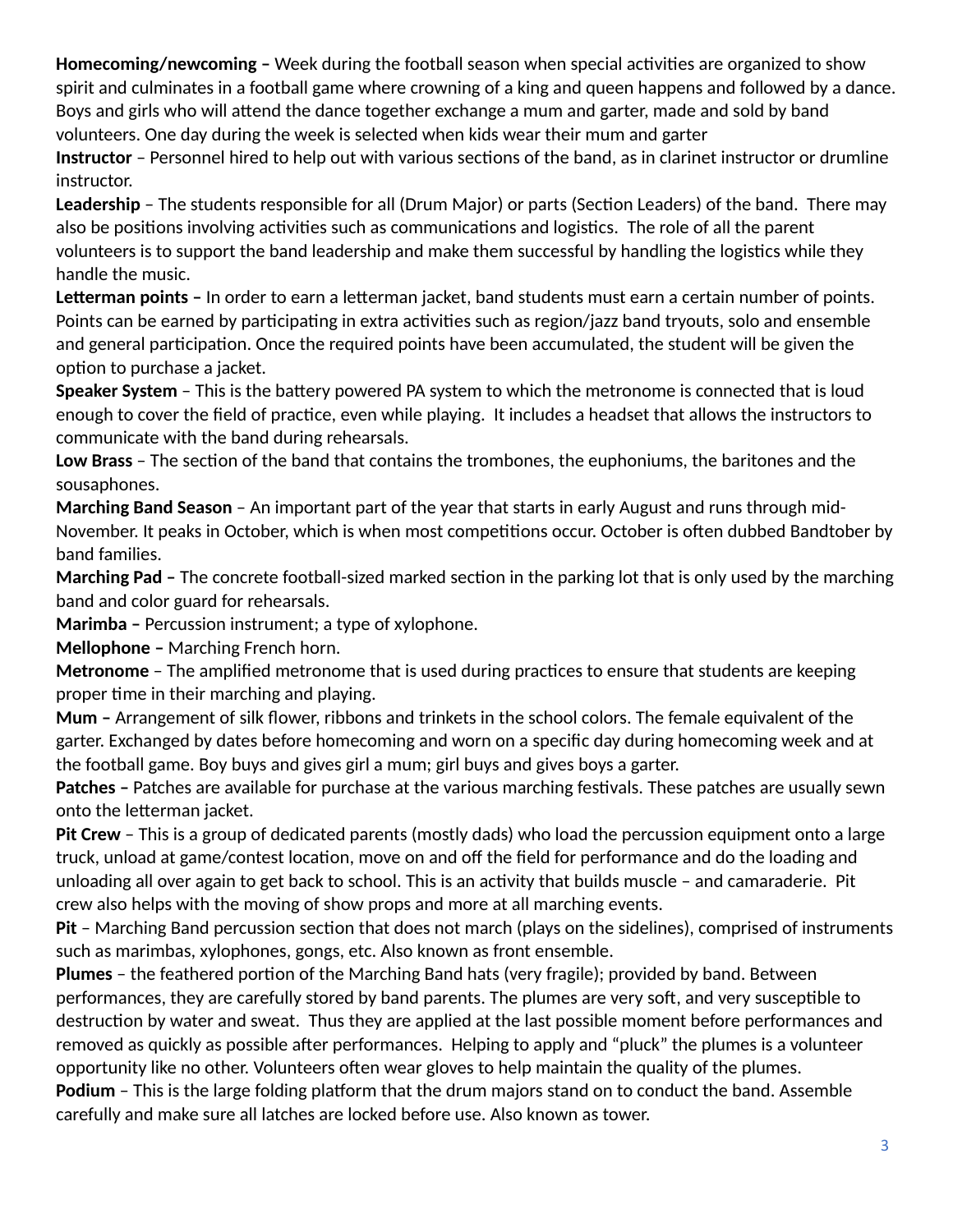Homecoming/newcoming - Week during the football season when special activities are organized to show spirit and culminates in a football game where crowning of a king and queen happens and followed by a dance. Boys and girls who will attend the dance together exchange a mum and garter, made and sold by band volunteers. One day during the week is selected when kids wear their mum and garter

Instructor - Personnel hired to help out with various sections of the band, as in clarinet instructor or drumline instructor.

Leadership - The students responsible for all (Drum Major) or parts (Section Leaders) of the band. There may also be positions involving activities such as communications and logistics. The role of all the parent volunteers is to support the band leadership and make them successful by handling the logistics while they handle the music.

Letterman points - In order to earn a letterman jacket, band students must earn a certain number of points. Points can be earned by participating in extra activities such as region/jazz band tryouts, solo and ensemble and general participation. Once the required points have been accumulated, the student will be given the option to purchase a jacket.

**Speaker System** – This is the battery powered PA system to which the metronome is connected that is loud enough to cover the field of practice, even while playing. It includes a headset that allows the instructors to communicate with the band during rehearsals.

Low Brass - The section of the band that contains the trombones, the euphoniums, the baritones and the sousaphones.

**Marching Band Season** – An important part of the year that starts in early August and runs through mid-November. It peaks in October, which is when most competitions occur. October is often dubbed Bandtober by band families.

**Marching Pad -** The concrete football-sized marked section in the parking lot that is only used by the marching band and color guard for rehearsals.

**Marimba –** Percussion instrument; a type of xylophone.

**Mellophone –** Marching French horn.

**Metronome** - The amplified metronome that is used during practices to ensure that students are keeping proper time in their marching and playing.

**Mum –** Arrangement of silk flower, ribbons and trinkets in the school colors. The female equivalent of the garter. Exchanged by dates before homecoming and worn on a specific day during homecoming week and at the football game. Boy buys and gives girl a mum; girl buys and gives boys a garter.

**Patches -** Patches are available for purchase at the various marching festivals. These patches are usually sewn onto the letterman jacket.

**Pit Crew** – This is a group of dedicated parents (mostly dads) who load the percussion equipment onto a large truck, unload at game/contest location, move on and off the field for performance and do the loading and unloading all over again to get back to school. This is an activity that builds muscle - and camaraderie. Pit crew also helps with the moving of show props and more at all marching events.

**Pit** - Marching Band percussion section that does not march (plays on the sidelines), comprised of instruments such as marimbas, xylophones, gongs, etc. Also known as front ensemble.

**Plumes** - the feathered portion of the Marching Band hats (very fragile); provided by band. Between performances, they are carefully stored by band parents. The plumes are very soft, and very susceptible to destruction by water and sweat. Thus they are applied at the last possible moment before performances and removed as quickly as possible after performances. Helping to apply and "pluck" the plumes is a volunteer opportunity like no other. Volunteers often wear gloves to help maintain the quality of the plumes.

**Podium** - This is the large folding platform that the drum majors stand on to conduct the band. Assemble carefully and make sure all latches are locked before use. Also known as tower.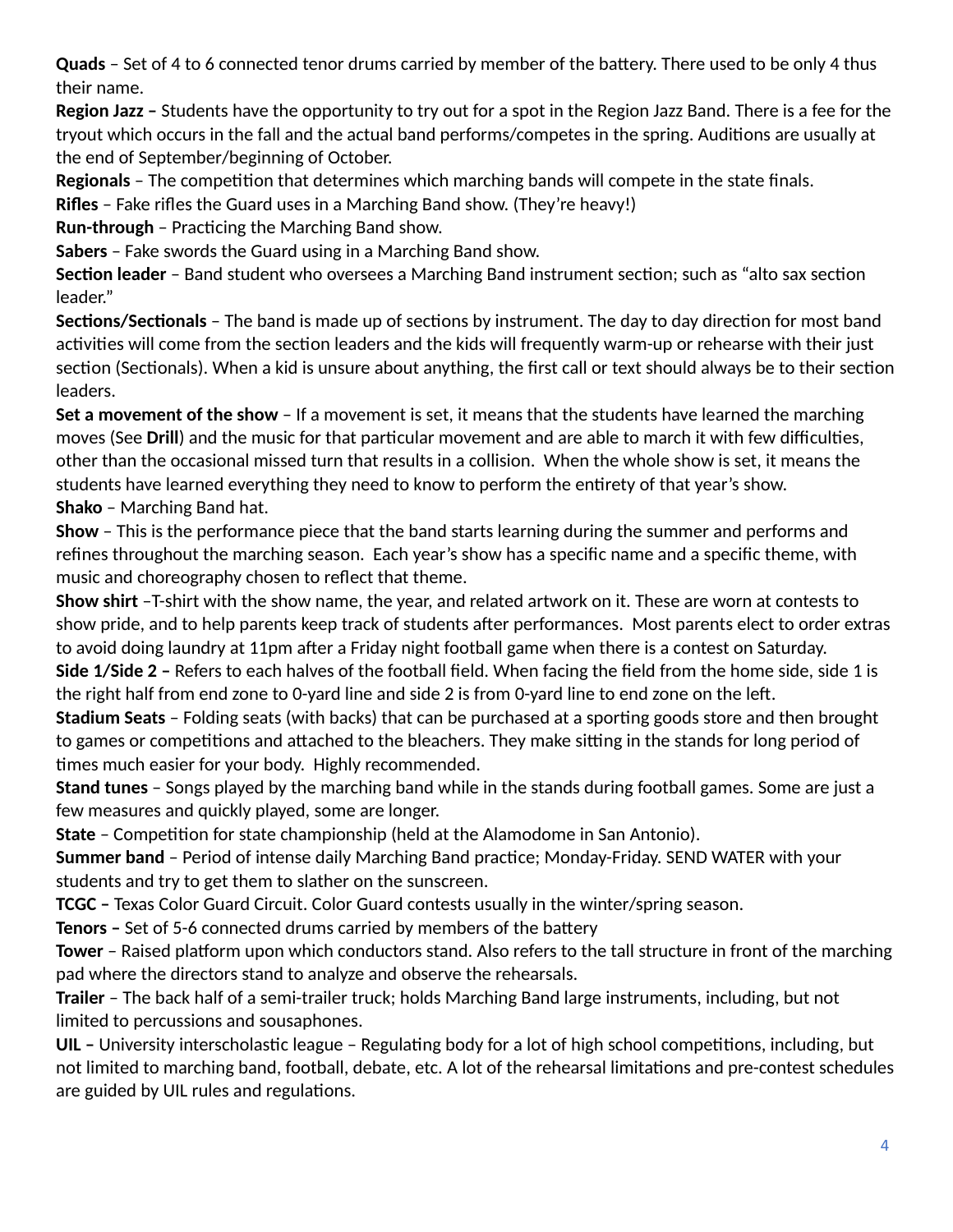**Quads** – Set of 4 to 6 connected tenor drums carried by member of the battery. There used to be only 4 thus their name.

**Region Jazz –** Students have the opportunity to try out for a spot in the Region Jazz Band. There is a fee for the tryout which occurs in the fall and the actual band performs/competes in the spring. Auditions are usually at the end of September/beginning of October.

**Regionals** – The competition that determines which marching bands will compete in the state finals.

**Rifles** – Fake rifles the Guard uses in a Marching Band show. (They're heavy!)

**Run-through - Practicing the Marching Band show.** 

**Sabers** – Fake swords the Guard using in a Marching Band show.

**Section leader** - Band student who oversees a Marching Band instrument section; such as "alto sax section leader."

**Sections/Sectionals** – The band is made up of sections by instrument. The day to day direction for most band activities will come from the section leaders and the kids will frequently warm-up or rehearse with their just section (Sectionals). When a kid is unsure about anything, the first call or text should always be to their section leaders.

**Set a movement of the show** – If a movement is set, it means that the students have learned the marching moves (See **Drill**) and the music for that particular movement and are able to march it with few difficulties, other than the occasional missed turn that results in a collision. When the whole show is set, it means the students have learned everything they need to know to perform the entirety of that year's show. **Shako** – Marching Band hat.

**Show** – This is the performance piece that the band starts learning during the summer and performs and refines throughout the marching season. Each year's show has a specific name and a specific theme, with music and choreography chosen to reflect that theme.

**Show shirt** –T-shirt with the show name, the year, and related artwork on it. These are worn at contests to show pride, and to help parents keep track of students after performances. Most parents elect to order extras to avoid doing laundry at 11pm after a Friday night football game when there is a contest on Saturday.

**Side 1/Side 2 –** Refers to each halves of the football field. When facing the field from the home side, side 1 is the right half from end zone to 0-yard line and side 2 is from 0-yard line to end zone on the left.

**Stadium Seats** - Folding seats (with backs) that can be purchased at a sporting goods store and then brought to games or competitions and attached to the bleachers. They make sitting in the stands for long period of times much easier for your body. Highly recommended.

**Stand tunes** – Songs played by the marching band while in the stands during football games. Some are just a few measures and quickly played, some are longer.

**State** – Competition for state championship (held at the Alamodome in San Antonio).

**Summer band** – Period of intense daily Marching Band practice; Monday-Friday. SEND WATER with your students and try to get them to slather on the sunscreen.

**TCGC –** Texas Color Guard Circuit. Color Guard contests usually in the winter/spring season.

**Tenors -** Set of 5-6 connected drums carried by members of the battery

**Tower** – Raised platform upon which conductors stand. Also refers to the tall structure in front of the marching pad where the directors stand to analyze and observe the rehearsals.

**Trailer** – The back half of a semi-trailer truck; holds Marching Band large instruments, including, but not limited to percussions and sousaphones.

UIL - University interscholastic league - Regulating body for a lot of high school competitions, including, but not limited to marching band, football, debate, etc. A lot of the rehearsal limitations and pre-contest schedules are guided by UIL rules and regulations.